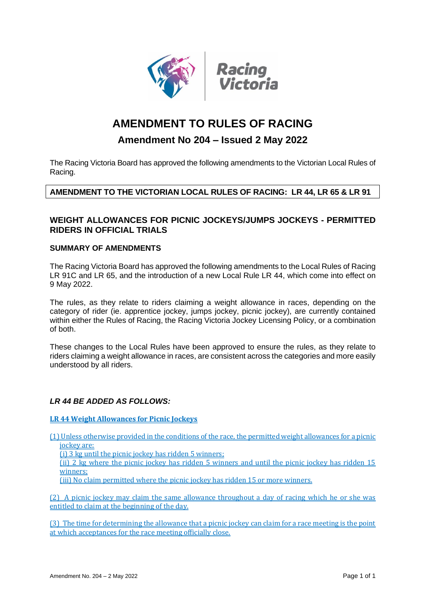

# **AMENDMENT TO RULES OF RACING**

# **Amendment No 204 – Issued 2 May 2022**

The Racing Victoria Board has approved the following amendments to the Victorian Local Rules of Racing.

# **AMENDMENT TO THE VICTORIAN LOCAL RULES OF RACING: LR 44, LR 65 & LR 91**

# **WEIGHT ALLOWANCES FOR PICNIC JOCKEYS/JUMPS JOCKEYS - PERMITTED RIDERS IN OFFICIAL TRIALS**

## **SUMMARY OF AMENDMENTS**

The Racing Victoria Board has approved the following amendments to the Local Rules of Racing LR 91C and LR 65, and the introduction of a new Local Rule LR 44, which come into effect on 9 May 2022.

The rules, as they relate to riders claiming a weight allowance in races, depending on the category of rider (ie. apprentice jockey, jumps jockey, picnic jockey), are currently contained within either the Rules of Racing, the Racing Victoria Jockey Licensing Policy, or a combination of both.

These changes to the Local Rules have been approved to ensure the rules, as they relate to riders claiming a weight allowance in races, are consistent across the categories and more easily understood by all riders.

# *LR 44 BE ADDED AS FOLLOWS:*

**LR 44 Weight Allowances for Picnic Jockeys**

(1) Unless otherwise provided in the conditions of the race, the permitted weight allowances for a picnic jockey are:

(i) 3 kg until the picnic jockey has ridden 5 winners;

(ii) 2 kg where the picnic jockey has ridden 5 winners and until the picnic jockey has ridden 15 winners;

(iii) No claim permitted where the picnic jockey has ridden 15 or more winners.

(2) A picnic jockey may claim the same allowance throughout a day of racing which he or she was entitled to claim at the beginning of the day.

(3) The time for determining the allowance that a picnic jockey can claim for a race meeting is the point at which acceptances for the race meeting officially close.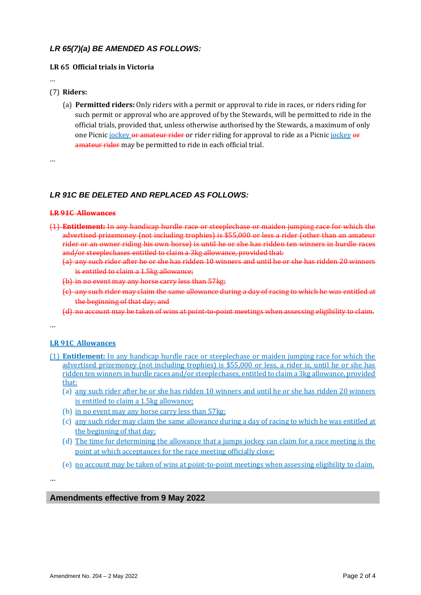# *LR 65(7)(a) BE AMENDED AS FOLLOWS:*

#### **LR 65 Official trials in Victoria**

…

#### (7) **Riders:**

(a) **Permitted riders:** Only riders with a permit or approval to ride in races, or riders riding for such permit or approval who are approved of by the Stewards, will be permitted to ride in the official trials, provided that, unless otherwise authorised by the Stewards, a maximum of only one Picnic jockey or amateur rider or rider riding for approval to ride as a Picnic jockey or amateur rider may be permitted to ride in each official trial.

…

## *LR 91C BE DELETED AND REPLACED AS FOLLOWS:*

#### **LR 91C Allowances**

- (1) **Entitlement:** In any handicap hurdle race or steeplechase or maiden jumping race for which the advertised prizemoney (not including trophies) is \$55,000 or less a rider (other than an amateur rider or an owner riding his own horse) is until he or she has ridden ten winners in hurdle races and/or steeplechases entitled to claim a 3kg allowance, provided that:
	- (a) any such rider after he or she has ridden 10 winners and until he or she has ridden 20 winners is entitled to claim a 1.5kg allowance;
	- (b) in no event may any horse carry less than 57kg;
	- (c) any such rider may claim the same allowance during a day of racing to which he was entitled at the beginning of that day; and
	- (d) no account may be taken of wins at point-to-point meetings when assessing eligibility to claim.

…

## **LR 91C Allowances**

- (1) **Entitlement:** In any handicap hurdle race or steeplechase or maiden jumping race for which the advertised prizemoney (not including trophies) is \$55,000 or less, a rider is, until he or she has ridden ten winners in hurdle races and/or steeplechases, entitled to claim a 3kg allowance, provided that:
	- (a) any such rider after he or she has ridden 10 winners and until he or she has ridden 20 winners is entitled to claim a 1.5kg allowance;
	- (b) in no event may any horse carry less than 57kg;
	- (c) any such rider may claim the same allowance during a day of racing to which he was entitled at the beginning of that day;
	- (d) The time for determining the allowance that a jumps jockey can claim for a race meeting is the point at which acceptances for the race meeting officially close;
	- (e) no account may be taken of wins at point-to-point meetings when assessing eligibility to claim.

…

## **Amendments effective from 9 May 2022**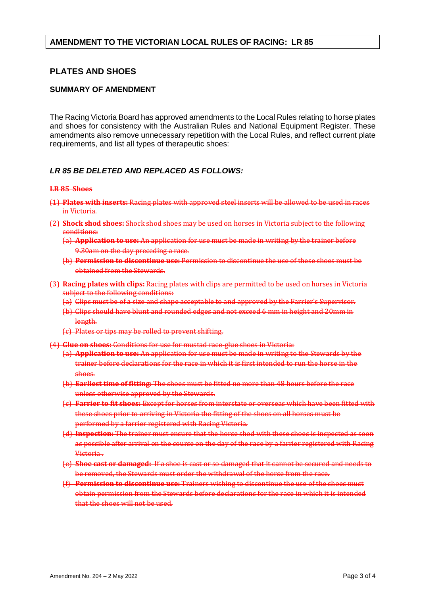## **AMENDMENT TO THE VICTORIAN LOCAL RULES OF RACING: LR 85**

# **PLATES AND SHOES**

## **SUMMARY OF AMENDMENT**

The Racing Victoria Board has approved amendments to the Local Rules relating to horse plates and shoes for consistency with the Australian Rules and National Equipment Register. These amendments also remove unnecessary repetition with the Local Rules, and reflect current plate requirements, and list all types of therapeutic shoes:

#### *LR 85 BE DELETED AND REPLACED AS FOLLOWS:*

#### **LR 85 Shoes**

- (1) **Plates with inserts:** Racing plates with approved steel inserts will be allowed to be used in races in Victoria.
- (2) **Shock shod shoes:** Shock shod shoes may be used on horses in Victoria subject to the following conditions:
	- (a) **Application to use:** An application for use must be made in writing by the trainer before 9.30am on the day preceding a race.
	- (b) **Permission to discontinue use:** Permission to discontinue the use of these shoes must be obtained from the Stewards.
- (3) **Racing plates with clips:** Racing plates with clips are permitted to be used on horses in Victoria subject to the following conditions:
	- (a) Clips must be of a size and shape acceptable to and approved by the Farrier's Supervisor.
	- (b) Clips should have blunt and rounded edges and not exceed 6 mm in height and 20mm in length.
	- (c) Plates or tips may be rolled to prevent shifting.
- (4) **Glue on shoes:** Conditions for use for mustad race-glue shoes in Victoria:
	- (a) **Application to use:** An application for use must be made in writing to the Stewards by the trainer before declarations for the race in which it is first intended to run the horse in the shoes.
	- (b) **Earliest time of fitting:** The shoes must be fitted no more than 48 hours before the race unless otherwise approved by the Stewards.
	- (c) **Farrier to fit shoes:** Except for horses from interstate or overseas which have been fitted with these shoes prior to arriving in Victoria the fitting of the shoes on all horses must be performed by a farrier registered with Racing Victoria.
	- (d) **Inspection:** The trainer must ensure that the horse shod with these shoes is inspected as soon as possible after arrival on the course on the day of the race by a farrier registered with Racing Victoria.
	- (e) **Shoe cast or damaged:** If a shoe is cast or so damaged that it cannot be secured and needs to be removed, the Stewards must order the withdrawal of the horse from the race.
	- (f) **Permission to discontinue use:** Trainers wishing to discontinue the use of the shoes must obtain permission from the Stewards before declarations for the race in which it is intended that the shoes will not be used.